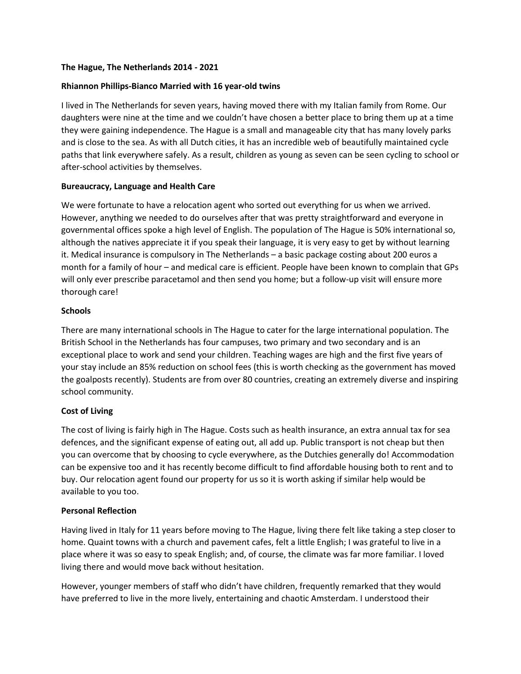# **The Hague, The Netherlands 2014 - 2021**

#### **Rhiannon Phillips-Bianco Married with 16 year-old twins**

I lived in The Netherlands for seven years, having moved there with my Italian family from Rome. Our daughters were nine at the time and we couldn't have chosen a better place to bring them up at a time they were gaining independence. The Hague is a small and manageable city that has many lovely parks and is close to the sea. As with all Dutch cities, it has an incredible web of beautifully maintained cycle paths that link everywhere safely. As a result, children as young as seven can be seen cycling to school or after-school activities by themselves.

#### **Bureaucracy, Language and Health Care**

We were fortunate to have a relocation agent who sorted out everything for us when we arrived. However, anything we needed to do ourselves after that was pretty straightforward and everyone in governmental offices spoke a high level of English. The population of The Hague is 50% international so, although the natives appreciate it if you speak their language, it is very easy to get by without learning it. Medical insurance is compulsory in The Netherlands – a basic package costing about 200 euros a month for a family of hour – and medical care is efficient. People have been known to complain that GPs will only ever prescribe paracetamol and then send you home; but a follow-up visit will ensure more thorough care!

# **Schools**

There are many international schools in The Hague to cater for the large international population. The British School in the Netherlands has four campuses, two primary and two secondary and is an exceptional place to work and send your children. Teaching wages are high and the first five years of your stay include an 85% reduction on school fees (this is worth checking as the government has moved the goalposts recently). Students are from over 80 countries, creating an extremely diverse and inspiring school community.

# **Cost of Living**

The cost of living is fairly high in The Hague. Costs such as health insurance, an extra annual tax for sea defences, and the significant expense of eating out, all add up. Public transport is not cheap but then you can overcome that by choosing to cycle everywhere, as the Dutchies generally do! Accommodation can be expensive too and it has recently become difficult to find affordable housing both to rent and to buy. Our relocation agent found our property for us so it is worth asking if similar help would be available to you too.

# **Personal Reflection**

Having lived in Italy for 11 years before moving to The Hague, living there felt like taking a step closer to home. Quaint towns with a church and pavement cafes, felt a little English; I was grateful to live in a place where it was so easy to speak English; and, of course, the climate was far more familiar. I loved living there and would move back without hesitation.

However, younger members of staff who didn't have children, frequently remarked that they would have preferred to live in the more lively, entertaining and chaotic Amsterdam. I understood their